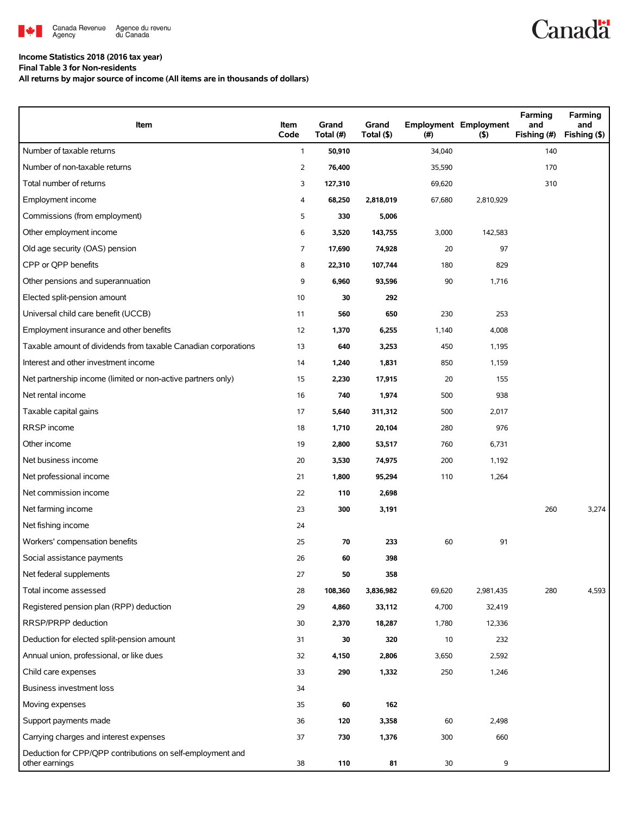

## **Canadä**

## **Income Statistics 2018 (2016 tax year)**

**Final Table 3 for Non-residents**

**All returns by major source of income (All items are in thousands of dollars)**

| Item                                                                         | Item<br>Code | Grand<br>Total (#) | Grand<br>Total (\$) | (#)    | <b>Employment Employment</b><br>(5) | Farming<br>and<br>Fishing (#) | Farming<br>and<br>Fishing (\$) |
|------------------------------------------------------------------------------|--------------|--------------------|---------------------|--------|-------------------------------------|-------------------------------|--------------------------------|
| Number of taxable returns                                                    | $\mathbf{1}$ | 50,910             |                     | 34,040 |                                     | 140                           |                                |
| Number of non-taxable returns                                                | 2            | 76,400             |                     | 35,590 |                                     | 170                           |                                |
| Total number of returns                                                      | 3            | 127,310            |                     | 69,620 |                                     | 310                           |                                |
| Employment income                                                            | 4            | 68,250             | 2,818,019           | 67,680 | 2,810,929                           |                               |                                |
| Commissions (from employment)                                                | 5            | 330                | 5,006               |        |                                     |                               |                                |
| Other employment income                                                      | 6            | 3,520              | 143,755             | 3,000  | 142,583                             |                               |                                |
| Old age security (OAS) pension                                               | 7            | 17,690             | 74,928              | 20     | 97                                  |                               |                                |
| CPP or QPP benefits                                                          | 8            | 22,310             | 107,744             | 180    | 829                                 |                               |                                |
| Other pensions and superannuation                                            | 9            | 6,960              | 93,596              | 90     | 1,716                               |                               |                                |
| Elected split-pension amount                                                 | 10           | 30                 | 292                 |        |                                     |                               |                                |
| Universal child care benefit (UCCB)                                          | 11           | 560                | 650                 | 230    | 253                                 |                               |                                |
| Employment insurance and other benefits                                      | 12           | 1,370              | 6,255               | 1,140  | 4,008                               |                               |                                |
| Taxable amount of dividends from taxable Canadian corporations               | 13           | 640                | 3,253               | 450    | 1,195                               |                               |                                |
| Interest and other investment income                                         | 14           | 1,240              | 1,831               | 850    | 1,159                               |                               |                                |
| Net partnership income (limited or non-active partners only)                 | 15           | 2,230              | 17,915              | 20     | 155                                 |                               |                                |
| Net rental income                                                            | 16           | 740                | 1,974               | 500    | 938                                 |                               |                                |
| Taxable capital gains                                                        | 17           | 5,640              | 311,312             | 500    | 2,017                               |                               |                                |
| RRSP income                                                                  | 18           | 1,710              | 20,104              | 280    | 976                                 |                               |                                |
| Other income                                                                 | 19           | 2,800              | 53,517              | 760    | 6,731                               |                               |                                |
| Net business income                                                          | 20           | 3,530              | 74,975              | 200    | 1,192                               |                               |                                |
| Net professional income                                                      | 21           | 1,800              | 95,294              | 110    | 1,264                               |                               |                                |
| Net commission income                                                        | 22           | 110                | 2,698               |        |                                     |                               |                                |
| Net farming income                                                           | 23           | 300                | 3,191               |        |                                     | 260                           | 3,274                          |
| Net fishing income                                                           | 24           |                    |                     |        |                                     |                               |                                |
| Workers' compensation benefits                                               | 25           | 70                 | 233                 | 60     | 91                                  |                               |                                |
| Social assistance payments                                                   | 26           | 60                 | 398                 |        |                                     |                               |                                |
| Net federal supplements                                                      | 27           | 50                 | 358                 |        |                                     |                               |                                |
| Total income assessed                                                        | 28           | 108,360            | 3,836,982           | 69,620 | 2,981,435                           | 280                           | 4,593                          |
| Registered pension plan (RPP) deduction                                      | 29           | 4,860              | 33,112              | 4,700  | 32,419                              |                               |                                |
| RRSP/PRPP deduction                                                          | 30           | 2,370              | 18,287              | 1,780  | 12,336                              |                               |                                |
| Deduction for elected split-pension amount                                   | 31           | 30                 | 320                 | 10     | 232                                 |                               |                                |
| Annual union, professional, or like dues                                     | 32           | 4,150              | 2,806               | 3,650  | 2,592                               |                               |                                |
| Child care expenses                                                          | 33           | 290                | 1,332               | 250    | 1,246                               |                               |                                |
| <b>Business investment loss</b>                                              | 34           |                    |                     |        |                                     |                               |                                |
| Moving expenses                                                              | 35           | 60                 | 162                 |        |                                     |                               |                                |
| Support payments made                                                        | 36           | 120                | 3,358               | 60     | 2,498                               |                               |                                |
| Carrying charges and interest expenses                                       | 37           | 730                | 1,376               | 300    | 660                                 |                               |                                |
| Deduction for CPP/QPP contributions on self-employment and<br>other earnings | 38           | 110                | 81                  | 30     | 9                                   |                               |                                |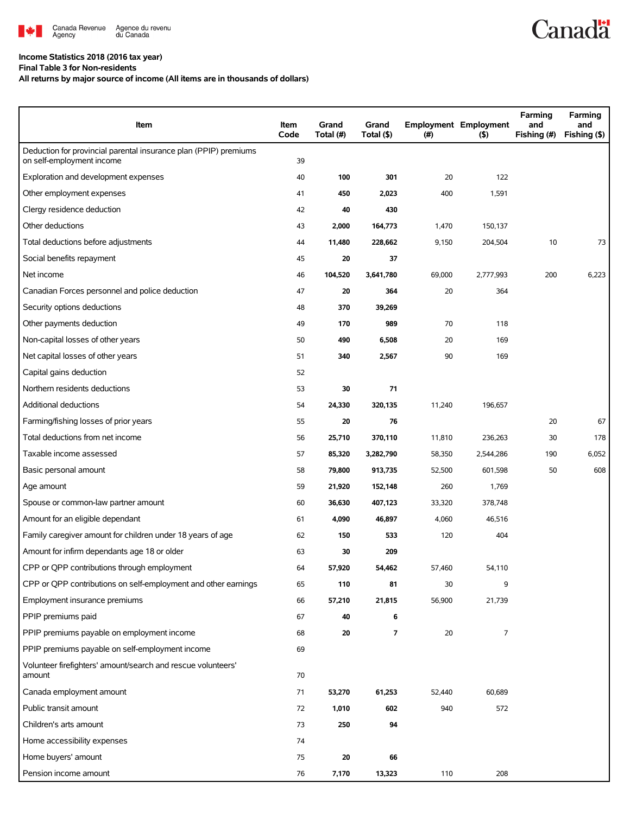

## **Income Statistics 2018 (2016 tax year)**

**Final Table 3 for Non-residents**

**All returns by major source of income (All items are in thousands of dollars)**

| Item                                                                                          | Item<br>Code | Grand<br>Total (#) | Grand<br>Total (\$) | $(\#)$ | <b>Employment Employment</b><br>$($ \$) | Farming<br>and<br>Fishing (#) | Farming<br>and<br>Fishing (\$) |
|-----------------------------------------------------------------------------------------------|--------------|--------------------|---------------------|--------|-----------------------------------------|-------------------------------|--------------------------------|
| Deduction for provincial parental insurance plan (PPIP) premiums<br>on self-employment income | 39           |                    |                     |        |                                         |                               |                                |
| Exploration and development expenses                                                          | 40           | 100                | 301                 | 20     | 122                                     |                               |                                |
| Other employment expenses                                                                     | 41           | 450                | 2,023               | 400    | 1,591                                   |                               |                                |
| Clergy residence deduction                                                                    | 42           | 40                 | 430                 |        |                                         |                               |                                |
| Other deductions                                                                              | 43           | 2,000              | 164,773             | 1,470  | 150,137                                 |                               |                                |
| Total deductions before adjustments                                                           | 44           | 11,480             | 228,662             | 9,150  | 204,504                                 | 10                            | 73                             |
| Social benefits repayment                                                                     | 45           | 20                 | 37                  |        |                                         |                               |                                |
| Net income                                                                                    | 46           | 104,520            | 3,641,780           | 69,000 | 2,777,993                               | 200                           | 6,223                          |
| Canadian Forces personnel and police deduction                                                | 47           | 20                 | 364                 | 20     | 364                                     |                               |                                |
| Security options deductions                                                                   | 48           | 370                | 39,269              |        |                                         |                               |                                |
| Other payments deduction                                                                      | 49           | 170                | 989                 | 70     | 118                                     |                               |                                |
| Non-capital losses of other years                                                             | 50           | 490                | 6,508               | 20     | 169                                     |                               |                                |
| Net capital losses of other years                                                             | 51           | 340                | 2,567               | 90     | 169                                     |                               |                                |
| Capital gains deduction                                                                       | 52           |                    |                     |        |                                         |                               |                                |
| Northern residents deductions                                                                 | 53           | 30                 | 71                  |        |                                         |                               |                                |
| Additional deductions                                                                         | 54           | 24,330             | 320,135             | 11,240 | 196,657                                 |                               |                                |
| Farming/fishing losses of prior years                                                         | 55           | 20                 | 76                  |        |                                         | 20                            | 67                             |
| Total deductions from net income                                                              | 56           | 25,710             | 370,110             | 11,810 | 236,263                                 | 30                            | 178                            |
| Taxable income assessed                                                                       | 57           | 85,320             | 3,282,790           | 58,350 | 2,544,286                               | 190                           | 6,052                          |
| Basic personal amount                                                                         | 58           | 79,800             | 913,735             | 52,500 | 601,598                                 | 50                            | 608                            |
| Age amount                                                                                    | 59           | 21,920             | 152,148             | 260    | 1,769                                   |                               |                                |
| Spouse or common-law partner amount                                                           | 60           | 36,630             | 407,123             | 33,320 | 378,748                                 |                               |                                |
| Amount for an eligible dependant                                                              | 61           | 4,090              | 46,897              | 4,060  | 46,516                                  |                               |                                |
| Family caregiver amount for children under 18 years of age                                    | 62           | 150                | 533                 | 120    | 404                                     |                               |                                |
| Amount for infirm dependants age 18 or older                                                  | 63           | 30                 | 209                 |        |                                         |                               |                                |
| CPP or QPP contributions through employment                                                   | 64           | 57,920             | 54,462              | 57,460 | 54,110                                  |                               |                                |
| CPP or QPP contributions on self-employment and other earnings                                | 65           | 110                | 81                  | 30     | 9                                       |                               |                                |
| Employment insurance premiums                                                                 | 66           | 57,210             | 21,815              | 56,900 | 21,739                                  |                               |                                |
| PPIP premiums paid                                                                            | 67           | 40                 | 6                   |        |                                         |                               |                                |
| PPIP premiums payable on employment income                                                    | 68           | 20                 | $\overline{7}$      | $20\,$ | 7                                       |                               |                                |
| PPIP premiums payable on self-employment income                                               | 69           |                    |                     |        |                                         |                               |                                |
| Volunteer firefighters' amount/search and rescue volunteers'<br>amount                        | 70           |                    |                     |        |                                         |                               |                                |
| Canada employment amount                                                                      | 71           | 53,270             | 61,253              | 52,440 | 60,689                                  |                               |                                |
| Public transit amount                                                                         | 72           | 1,010              | 602                 | 940    | 572                                     |                               |                                |
| Children's arts amount                                                                        | 73           | 250                | 94                  |        |                                         |                               |                                |
| Home accessibility expenses                                                                   | 74           |                    |                     |        |                                         |                               |                                |
| Home buyers' amount                                                                           | 75           | 20                 | 66                  |        |                                         |                               |                                |
| Pension income amount                                                                         | 76           | 7,170              | 13,323              | 110    | 208                                     |                               |                                |

**Canadä**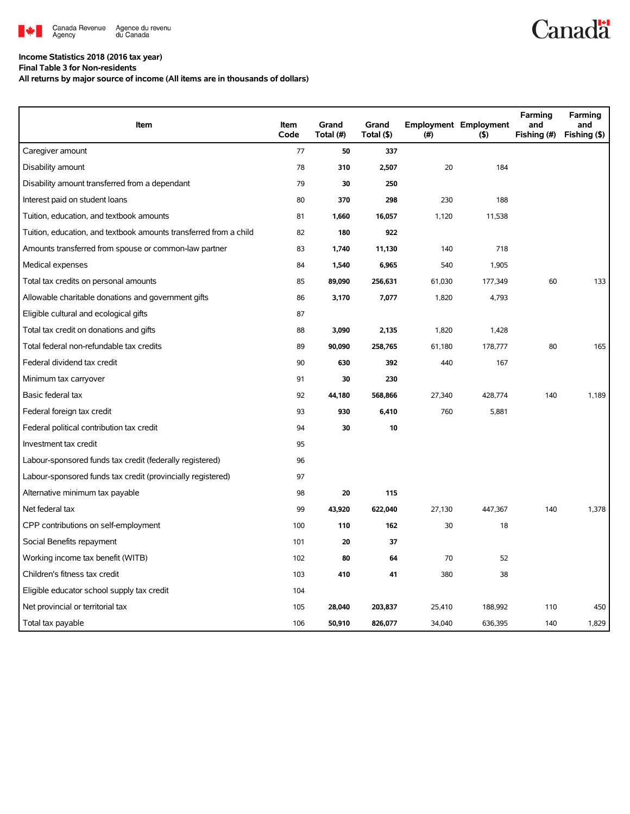

## **Income Statistics 2018 (2016 tax year)**

**Final Table 3 for Non-residents**

**All returns by major source of income (All items are in thousands of dollars)**

| Item                                                              | Item<br>Code | Grand<br>Total (#) | Grand<br>Total (\$) | (#)    | <b>Employment Employment</b><br>(5) | Farming<br>and<br>Fishing (#) | Farming<br>and<br>Fishing (\$) |
|-------------------------------------------------------------------|--------------|--------------------|---------------------|--------|-------------------------------------|-------------------------------|--------------------------------|
| Caregiver amount                                                  | 77           | 50                 | 337                 |        |                                     |                               |                                |
| Disability amount                                                 | 78           | 310                | 2,507               | 20     | 184                                 |                               |                                |
| Disability amount transferred from a dependant                    | 79           | 30                 | 250                 |        |                                     |                               |                                |
| Interest paid on student loans                                    | 80           | 370                | 298                 | 230    | 188                                 |                               |                                |
| Tuition, education, and textbook amounts                          | 81           | 1,660              | 16,057              | 1,120  | 11,538                              |                               |                                |
| Tuition, education, and textbook amounts transferred from a child | 82           | 180                | 922                 |        |                                     |                               |                                |
| Amounts transferred from spouse or common-law partner             | 83           | 1,740              | 11,130              | 140    | 718                                 |                               |                                |
| Medical expenses                                                  | 84           | 1,540              | 6,965               | 540    | 1,905                               |                               |                                |
| Total tax credits on personal amounts                             | 85           | 89,090             | 256,631             | 61,030 | 177,349                             | 60                            | 133                            |
| Allowable charitable donations and government gifts               | 86           | 3,170              | 7,077               | 1,820  | 4,793                               |                               |                                |
| Eligible cultural and ecological gifts                            | 87           |                    |                     |        |                                     |                               |                                |
| Total tax credit on donations and gifts                           | 88           | 3,090              | 2,135               | 1,820  | 1,428                               |                               |                                |
| Total federal non-refundable tax credits                          | 89           | 90,090             | 258,765             | 61,180 | 178,777                             | 80                            | 165                            |
| Federal dividend tax credit                                       | 90           | 630                | 392                 | 440    | 167                                 |                               |                                |
| Minimum tax carryover                                             | 91           | 30                 | 230                 |        |                                     |                               |                                |
| Basic federal tax                                                 | 92           | 44,180             | 568,866             | 27,340 | 428,774                             | 140                           | 1,189                          |
| Federal foreign tax credit                                        | 93           | 930                | 6,410               | 760    | 5,881                               |                               |                                |
| Federal political contribution tax credit                         | 94           | 30                 | 10                  |        |                                     |                               |                                |
| Investment tax credit                                             | 95           |                    |                     |        |                                     |                               |                                |
| Labour-sponsored funds tax credit (federally registered)          | 96           |                    |                     |        |                                     |                               |                                |
| Labour-sponsored funds tax credit (provincially registered)       | 97           |                    |                     |        |                                     |                               |                                |
| Alternative minimum tax payable                                   | 98           | 20                 | 115                 |        |                                     |                               |                                |
| Net federal tax                                                   | 99           | 43,920             | 622,040             | 27,130 | 447,367                             | 140                           | 1,378                          |
| CPP contributions on self-employment                              | 100          | 110                | 162                 | 30     | 18                                  |                               |                                |
| Social Benefits repayment                                         | 101          | 20                 | 37                  |        |                                     |                               |                                |
| Working income tax benefit (WITB)                                 | 102          | 80                 | 64                  | 70     | 52                                  |                               |                                |
| Children's fitness tax credit                                     | 103          | 410                | 41                  | 380    | 38                                  |                               |                                |
| Eligible educator school supply tax credit                        | 104          |                    |                     |        |                                     |                               |                                |
| Net provincial or territorial tax                                 | 105          | 28,040             | 203,837             | 25,410 | 188,992                             | 110                           | 450                            |
| Total tax payable                                                 | 106          | 50,910             | 826,077             | 34,040 | 636,395                             | 140                           | 1,829                          |

**Canadä**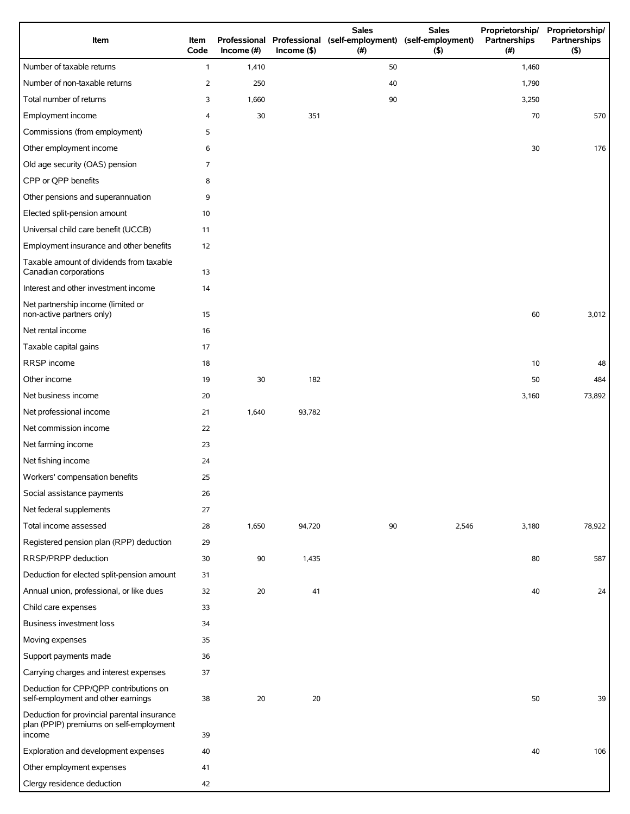| Item                                                                                             | Item<br>Code   | Income (#) | $Income($ \$) | <b>Sales</b><br><b>Sales</b><br>Professional Professional (self-employment)<br>(self-employment)<br>(#)<br>$($ \$) |       | Proprietorship/<br>Partnerships<br>(# ) | Proprietorship/<br>Partnerships<br>(5) |
|--------------------------------------------------------------------------------------------------|----------------|------------|---------------|--------------------------------------------------------------------------------------------------------------------|-------|-----------------------------------------|----------------------------------------|
| Number of taxable returns                                                                        | $\mathbf{1}$   | 1,410      |               | 50                                                                                                                 |       | 1,460                                   |                                        |
| Number of non-taxable returns                                                                    | $\overline{2}$ | 250        |               | 40                                                                                                                 |       | 1,790                                   |                                        |
| Total number of returns                                                                          | 3              | 1,660      |               | 90                                                                                                                 |       | 3,250                                   |                                        |
| Employment income                                                                                | 4              | 30         | 351           |                                                                                                                    |       | 70                                      | 570                                    |
| Commissions (from employment)                                                                    | 5              |            |               |                                                                                                                    |       |                                         |                                        |
| Other employment income                                                                          | 6              |            |               |                                                                                                                    |       | 30                                      | 176                                    |
| Old age security (OAS) pension                                                                   | $\overline{7}$ |            |               |                                                                                                                    |       |                                         |                                        |
| CPP or QPP benefits                                                                              | 8              |            |               |                                                                                                                    |       |                                         |                                        |
| Other pensions and superannuation                                                                | 9              |            |               |                                                                                                                    |       |                                         |                                        |
| Elected split-pension amount                                                                     | 10             |            |               |                                                                                                                    |       |                                         |                                        |
| Universal child care benefit (UCCB)                                                              | 11             |            |               |                                                                                                                    |       |                                         |                                        |
| Employment insurance and other benefits                                                          | 12             |            |               |                                                                                                                    |       |                                         |                                        |
| Taxable amount of dividends from taxable<br>Canadian corporations                                | 13             |            |               |                                                                                                                    |       |                                         |                                        |
| Interest and other investment income                                                             | 14             |            |               |                                                                                                                    |       |                                         |                                        |
| Net partnership income (limited or<br>non-active partners only)                                  | 15             |            |               |                                                                                                                    |       | 60                                      | 3,012                                  |
| Net rental income                                                                                | 16             |            |               |                                                                                                                    |       |                                         |                                        |
| Taxable capital gains                                                                            | 17             |            |               |                                                                                                                    |       |                                         |                                        |
| RRSP income                                                                                      | 18             |            |               |                                                                                                                    |       | 10                                      | 48                                     |
| Other income                                                                                     | 19             | 30         | 182           |                                                                                                                    |       | 50                                      | 484                                    |
| Net business income                                                                              | 20             |            |               |                                                                                                                    |       | 3,160                                   | 73,892                                 |
| Net professional income                                                                          | 21             | 1,640      | 93,782        |                                                                                                                    |       |                                         |                                        |
| Net commission income                                                                            | 22             |            |               |                                                                                                                    |       |                                         |                                        |
| Net farming income                                                                               | 23             |            |               |                                                                                                                    |       |                                         |                                        |
| Net fishing income                                                                               | 24             |            |               |                                                                                                                    |       |                                         |                                        |
| Workers' compensation benefits                                                                   | 25             |            |               |                                                                                                                    |       |                                         |                                        |
| Social assistance payments                                                                       | 26             |            |               |                                                                                                                    |       |                                         |                                        |
| Net federal supplements                                                                          | 27             |            |               |                                                                                                                    |       |                                         |                                        |
| Total income assessed                                                                            | 28             | 1,650      | 94,720        | 90                                                                                                                 | 2,546 | 3,180                                   | 78,922                                 |
| Registered pension plan (RPP) deduction                                                          | 29             |            |               |                                                                                                                    |       |                                         |                                        |
| RRSP/PRPP deduction                                                                              | 30             | 90         | 1,435         |                                                                                                                    |       | 80                                      | 587                                    |
| Deduction for elected split-pension amount                                                       | 31             |            |               |                                                                                                                    |       |                                         |                                        |
| Annual union, professional, or like dues                                                         | 32             | 20         | 41            |                                                                                                                    |       | 40                                      | 24                                     |
| Child care expenses                                                                              | 33             |            |               |                                                                                                                    |       |                                         |                                        |
| Business investment loss                                                                         | 34             |            |               |                                                                                                                    |       |                                         |                                        |
| Moving expenses                                                                                  | 35             |            |               |                                                                                                                    |       |                                         |                                        |
| Support payments made                                                                            | 36             |            |               |                                                                                                                    |       |                                         |                                        |
| Carrying charges and interest expenses                                                           | 37             |            |               |                                                                                                                    |       |                                         |                                        |
| Deduction for CPP/QPP contributions on<br>self-employment and other earnings                     | 38             | 20         | 20            |                                                                                                                    |       | 50                                      | 39                                     |
| Deduction for provincial parental insurance<br>plan (PPIP) premiums on self-employment<br>income | 39             |            |               |                                                                                                                    |       |                                         |                                        |
| Exploration and development expenses                                                             | 40             |            |               |                                                                                                                    |       | 40                                      | 106                                    |
| Other employment expenses                                                                        | 41             |            |               |                                                                                                                    |       |                                         |                                        |
| Clergy residence deduction                                                                       | 42             |            |               |                                                                                                                    |       |                                         |                                        |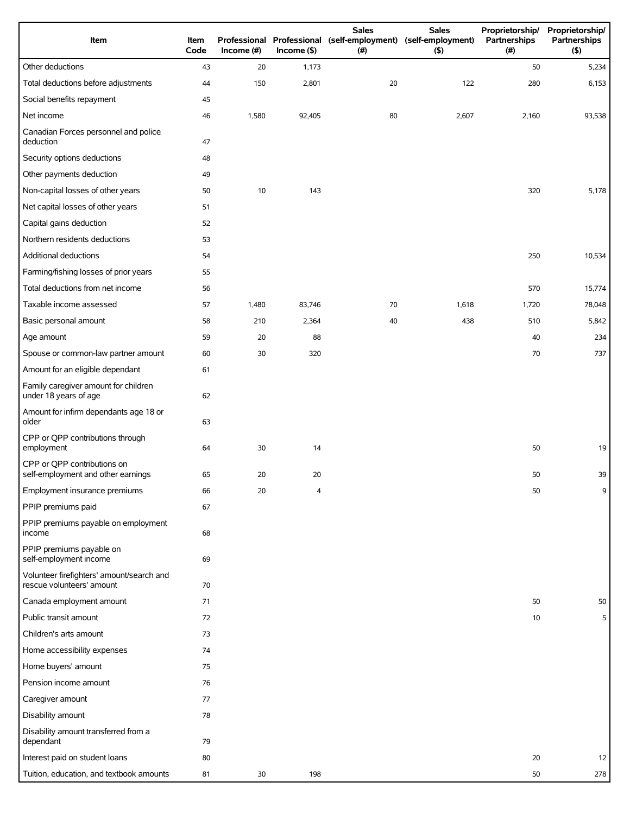| Item                                                                   | Item<br>Code | Income $#)$ | $Income$ (\$) | <b>Sales</b><br>Professional Professional (self-employment) (self-employment)<br>(# ) | <b>Sales</b><br>(5) | Proprietorship/<br>Partnerships<br>(# ) | Proprietorship/<br>Partnerships<br>(5) |
|------------------------------------------------------------------------|--------------|-------------|---------------|---------------------------------------------------------------------------------------|---------------------|-----------------------------------------|----------------------------------------|
| Other deductions                                                       | 43           | 20          | 1,173         |                                                                                       |                     | 50                                      | 5,234                                  |
| Total deductions before adjustments                                    | 44           | 150         | 2,801         | 20                                                                                    | 122                 | 280                                     | 6,153                                  |
| Social benefits repayment                                              | 45           |             |               |                                                                                       |                     |                                         |                                        |
| Net income                                                             | 46           | 1,580       | 92,405        | 80                                                                                    | 2,607               | 2,160                                   | 93,538                                 |
| Canadian Forces personnel and police<br>deduction                      | 47           |             |               |                                                                                       |                     |                                         |                                        |
| Security options deductions                                            | 48           |             |               |                                                                                       |                     |                                         |                                        |
| Other payments deduction                                               | 49           |             |               |                                                                                       |                     |                                         |                                        |
| Non-capital losses of other years                                      | 50           | 10          | 143           |                                                                                       |                     | 320                                     | 5,178                                  |
| Net capital losses of other years                                      | 51           |             |               |                                                                                       |                     |                                         |                                        |
| Capital gains deduction                                                | 52           |             |               |                                                                                       |                     |                                         |                                        |
| Northern residents deductions                                          | 53           |             |               |                                                                                       |                     |                                         |                                        |
| Additional deductions                                                  | 54           |             |               |                                                                                       |                     | 250                                     | 10,534                                 |
| Farming/fishing losses of prior years                                  | 55           |             |               |                                                                                       |                     |                                         |                                        |
| Total deductions from net income                                       | 56           |             |               |                                                                                       |                     | 570                                     | 15,774                                 |
| Taxable income assessed                                                | 57           | 1,480       | 83,746        | 70                                                                                    | 1,618               | 1,720                                   | 78,048                                 |
| Basic personal amount                                                  | 58           | 210         | 2,364         | 40                                                                                    | 438                 | 510                                     | 5,842                                  |
| Age amount                                                             | 59           | 20          | 88            |                                                                                       |                     | 40                                      | 234                                    |
| Spouse or common-law partner amount                                    | 60           | 30          | 320           |                                                                                       |                     | 70                                      | 737                                    |
| Amount for an eligible dependant                                       | 61           |             |               |                                                                                       |                     |                                         |                                        |
| Family caregiver amount for children<br>under 18 years of age          | 62           |             |               |                                                                                       |                     |                                         |                                        |
| Amount for infirm dependants age 18 or<br>older                        | 63           |             |               |                                                                                       |                     |                                         |                                        |
| CPP or QPP contributions through<br>employment                         | 64           | 30          | 14            |                                                                                       |                     | 50                                      | 19                                     |
| CPP or QPP contributions on<br>self-employment and other earnings      | 65           | 20          | 20            |                                                                                       |                     | 50                                      | 39                                     |
| Employment insurance premiums                                          | 66           | 20          | 4             |                                                                                       |                     | 50                                      | 9                                      |
| PPIP premiums paid                                                     | 67           |             |               |                                                                                       |                     |                                         |                                        |
| PPIP premiums payable on employment<br>income                          | 68           |             |               |                                                                                       |                     |                                         |                                        |
| PPIP premiums payable on<br>self-employment income                     | 69           |             |               |                                                                                       |                     |                                         |                                        |
| Volunteer firefighters' amount/search and<br>rescue volunteers' amount | 70           |             |               |                                                                                       |                     |                                         |                                        |
| Canada employment amount                                               | 71           |             |               |                                                                                       |                     | 50                                      | 50                                     |
| Public transit amount                                                  | 72           |             |               |                                                                                       |                     | 10                                      | 5                                      |
| Children's arts amount                                                 | 73           |             |               |                                                                                       |                     |                                         |                                        |
| Home accessibility expenses                                            | 74           |             |               |                                                                                       |                     |                                         |                                        |
| Home buyers' amount                                                    | 75           |             |               |                                                                                       |                     |                                         |                                        |
| Pension income amount                                                  | 76           |             |               |                                                                                       |                     |                                         |                                        |
| Caregiver amount                                                       | 77           |             |               |                                                                                       |                     |                                         |                                        |
| Disability amount                                                      | 78           |             |               |                                                                                       |                     |                                         |                                        |
| Disability amount transferred from a<br>dependant                      | 79           |             |               |                                                                                       |                     |                                         |                                        |
| Interest paid on student loans                                         | 80           |             |               |                                                                                       |                     | 20                                      | 12                                     |
| Tuition, education, and textbook amounts                               | 81           | 30          | 198           |                                                                                       |                     | 50                                      | 278                                    |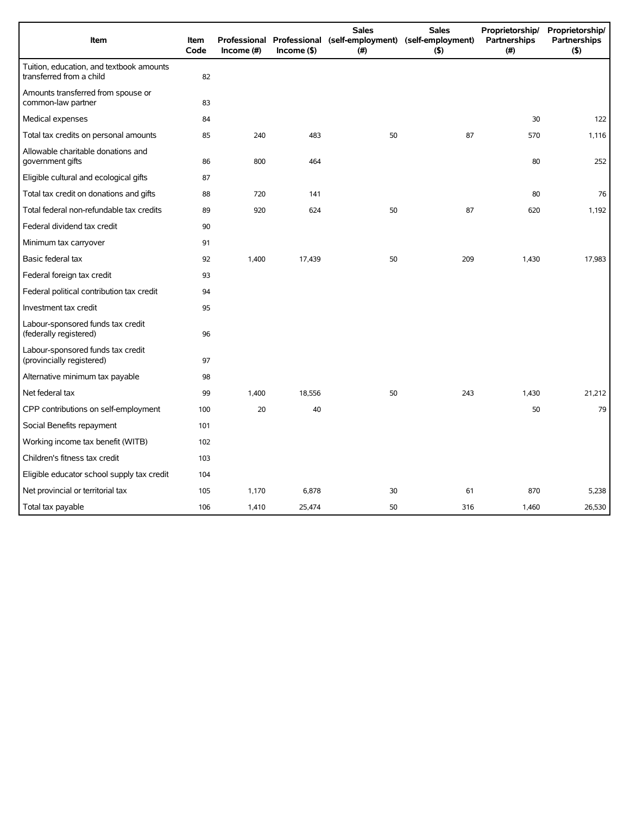| Item                                                                 | Item<br>Code | Income (#) | $Income($ \$) | <b>Sales</b><br>Professional Professional (self-employment) (self-employment)<br>(# ) | <b>Sales</b><br>(5) | Proprietorship/<br>Partnerships<br>(#) | Proprietorship/<br>Partnerships<br>(5) |
|----------------------------------------------------------------------|--------------|------------|---------------|---------------------------------------------------------------------------------------|---------------------|----------------------------------------|----------------------------------------|
| Tuition, education, and textbook amounts<br>transferred from a child | 82           |            |               |                                                                                       |                     |                                        |                                        |
| Amounts transferred from spouse or<br>common-law partner             | 83           |            |               |                                                                                       |                     |                                        |                                        |
| Medical expenses                                                     | 84           |            |               |                                                                                       |                     | 30                                     | 122                                    |
| Total tax credits on personal amounts                                | 85           | 240        | 483           | 50                                                                                    | 87                  | 570                                    | 1,116                                  |
| Allowable charitable donations and<br>government gifts               | 86           | 800        | 464           |                                                                                       |                     | 80                                     | 252                                    |
| Eligible cultural and ecological gifts                               | 87           |            |               |                                                                                       |                     |                                        |                                        |
| Total tax credit on donations and gifts                              | 88           | 720        | 141           |                                                                                       |                     | 80                                     | 76                                     |
| Total federal non-refundable tax credits                             | 89           | 920        | 624           | 50                                                                                    | 87                  | 620                                    | 1,192                                  |
| Federal dividend tax credit                                          | 90           |            |               |                                                                                       |                     |                                        |                                        |
| Minimum tax carryover                                                | 91           |            |               |                                                                                       |                     |                                        |                                        |
| Basic federal tax                                                    | 92           | 1,400      | 17,439        | 50                                                                                    | 209                 | 1,430                                  | 17,983                                 |
| Federal foreign tax credit                                           | 93           |            |               |                                                                                       |                     |                                        |                                        |
| Federal political contribution tax credit                            | 94           |            |               |                                                                                       |                     |                                        |                                        |
| Investment tax credit                                                | 95           |            |               |                                                                                       |                     |                                        |                                        |
| Labour-sponsored funds tax credit<br>(federally registered)          | 96           |            |               |                                                                                       |                     |                                        |                                        |
| Labour-sponsored funds tax credit<br>(provincially registered)       | 97           |            |               |                                                                                       |                     |                                        |                                        |
| Alternative minimum tax payable                                      | 98           |            |               |                                                                                       |                     |                                        |                                        |
| Net federal tax                                                      | 99           | 1,400      | 18,556        | 50                                                                                    | 243                 | 1,430                                  | 21,212                                 |
| CPP contributions on self-employment                                 | 100          | 20         | 40            |                                                                                       |                     | 50                                     | 79                                     |
| Social Benefits repayment                                            | 101          |            |               |                                                                                       |                     |                                        |                                        |
| Working income tax benefit (WITB)                                    | 102          |            |               |                                                                                       |                     |                                        |                                        |
| Children's fitness tax credit                                        | 103          |            |               |                                                                                       |                     |                                        |                                        |
| Eligible educator school supply tax credit                           | 104          |            |               |                                                                                       |                     |                                        |                                        |
| Net provincial or territorial tax                                    | 105          | 1,170      | 6,878         | 30                                                                                    | 61                  | 870                                    | 5,238                                  |
| Total tax payable                                                    | 106          | 1,410      | 25,474        | 50                                                                                    | 316                 | 1,460                                  | 26,530                                 |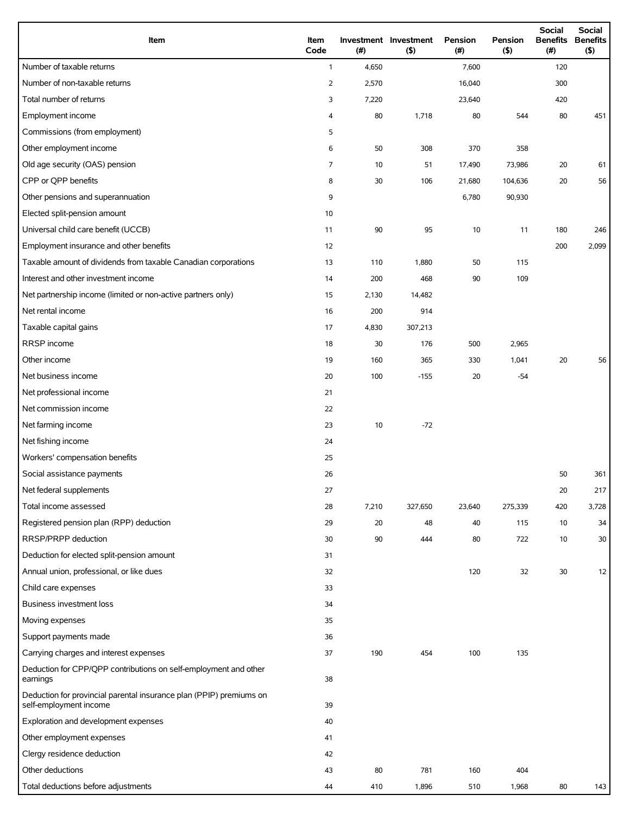| Item                                                                                          | Item<br>Code   | (#)   | Investment Investment<br>$($ \$) | Pension<br>(# ) | Pension<br>$($ \$) | <b>Social</b><br><b>Benefits</b><br>(#) | Social<br><b>Benefits</b><br>$($ \$) |
|-----------------------------------------------------------------------------------------------|----------------|-------|----------------------------------|-----------------|--------------------|-----------------------------------------|--------------------------------------|
| Number of taxable returns                                                                     | $\mathbf{1}$   | 4,650 |                                  | 7,600           |                    | 120                                     |                                      |
| Number of non-taxable returns                                                                 | $\overline{2}$ | 2,570 |                                  | 16,040          |                    | 300                                     |                                      |
| Total number of returns                                                                       | 3              | 7,220 |                                  | 23,640          |                    | 420                                     |                                      |
| Employment income                                                                             | 4              | 80    | 1,718                            | 80              | 544                | 80                                      | 451                                  |
| Commissions (from employment)                                                                 | 5              |       |                                  |                 |                    |                                         |                                      |
| Other employment income                                                                       | 6              | 50    | 308                              | 370             | 358                |                                         |                                      |
| Old age security (OAS) pension                                                                | $\overline{7}$ | 10    | 51                               | 17,490          | 73,986             | 20                                      | 61                                   |
| CPP or QPP benefits                                                                           | 8              | 30    | 106                              | 21,680          | 104,636            | 20                                      | 56                                   |
| Other pensions and superannuation                                                             | 9              |       |                                  | 6,780           | 90,930             |                                         |                                      |
| Elected split-pension amount                                                                  | 10             |       |                                  |                 |                    |                                         |                                      |
| Universal child care benefit (UCCB)                                                           | 11             | 90    | 95                               | 10              | 11                 | 180                                     | 246                                  |
| Employment insurance and other benefits                                                       | 12             |       |                                  |                 |                    | 200                                     | 2,099                                |
| Taxable amount of dividends from taxable Canadian corporations                                | 13             | 110   | 1,880                            | 50              | 115                |                                         |                                      |
| Interest and other investment income                                                          | 14             | 200   | 468                              | 90              | 109                |                                         |                                      |
| Net partnership income (limited or non-active partners only)                                  | 15             | 2,130 | 14,482                           |                 |                    |                                         |                                      |
| Net rental income                                                                             | 16             | 200   | 914                              |                 |                    |                                         |                                      |
| Taxable capital gains                                                                         | 17             | 4,830 | 307,213                          |                 |                    |                                         |                                      |
| RRSP income                                                                                   | 18             | 30    | 176                              | 500             | 2,965              |                                         |                                      |
| Other income                                                                                  | 19             | 160   | 365                              | 330             | 1,041              | 20                                      | 56                                   |
| Net business income                                                                           | 20             | 100   | $-155$                           | 20              | $-54$              |                                         |                                      |
| Net professional income                                                                       | 21             |       |                                  |                 |                    |                                         |                                      |
| Net commission income                                                                         | 22             |       |                                  |                 |                    |                                         |                                      |
| Net farming income                                                                            | 23             | 10    | $-72$                            |                 |                    |                                         |                                      |
| Net fishing income                                                                            | 24             |       |                                  |                 |                    |                                         |                                      |
| Workers' compensation benefits                                                                | 25             |       |                                  |                 |                    |                                         |                                      |
| Social assistance payments                                                                    | 26             |       |                                  |                 |                    | 50                                      | 361                                  |
| Net federal supplements                                                                       | 27             |       |                                  |                 |                    | 20                                      | 217                                  |
| Total income assessed                                                                         | 28             | 7,210 | 327,650                          | 23,640          | 275,339            | 420                                     | 3,728                                |
| Registered pension plan (RPP) deduction                                                       | 29             | 20    | 48                               | 40              | 115                | 10                                      | 34                                   |
| RRSP/PRPP deduction                                                                           | 30             | 90    | 444                              | 80              | 722                | 10                                      | 30                                   |
| Deduction for elected split-pension amount                                                    | 31             |       |                                  |                 |                    |                                         |                                      |
| Annual union, professional, or like dues                                                      | 32             |       |                                  | 120             | 32                 | 30                                      | 12                                   |
| Child care expenses                                                                           | 33             |       |                                  |                 |                    |                                         |                                      |
| Business investment loss                                                                      | 34             |       |                                  |                 |                    |                                         |                                      |
| Moving expenses                                                                               | 35             |       |                                  |                 |                    |                                         |                                      |
| Support payments made                                                                         | 36             |       |                                  |                 |                    |                                         |                                      |
| Carrying charges and interest expenses                                                        | 37             | 190   | 454                              | 100             | 135                |                                         |                                      |
| Deduction for CPP/QPP contributions on self-employment and other<br>earnings                  | 38             |       |                                  |                 |                    |                                         |                                      |
| Deduction for provincial parental insurance plan (PPIP) premiums on<br>self-employment income | 39             |       |                                  |                 |                    |                                         |                                      |
| Exploration and development expenses                                                          | 40             |       |                                  |                 |                    |                                         |                                      |
| Other employment expenses                                                                     | 41             |       |                                  |                 |                    |                                         |                                      |
| Clergy residence deduction                                                                    | 42             |       |                                  |                 |                    |                                         |                                      |
| Other deductions                                                                              | 43             | 80    | 781                              | 160             | 404                |                                         |                                      |
| Total deductions before adjustments                                                           | 44             | 410   | 1,896                            | 510             | 1,968              | 80                                      | 143                                  |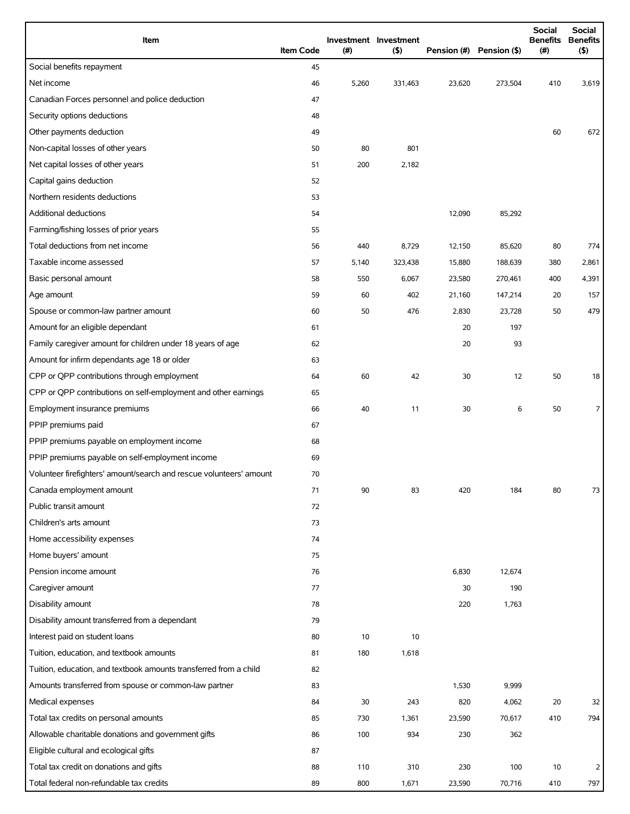| Item                                                                | <b>Item Code</b> | (#)   | Investment Investment<br>(5) |        | Pension (#) Pension (\$) | <b>Social</b><br><b>Benefits</b><br>(# ) | Social<br><b>Benefits</b><br>(5) |
|---------------------------------------------------------------------|------------------|-------|------------------------------|--------|--------------------------|------------------------------------------|----------------------------------|
| Social benefits repayment                                           | 45               |       |                              |        |                          |                                          |                                  |
| Net income                                                          | 46               | 5,260 | 331,463                      | 23,620 | 273,504                  | 410                                      | 3,619                            |
| Canadian Forces personnel and police deduction                      | 47               |       |                              |        |                          |                                          |                                  |
| Security options deductions                                         | 48               |       |                              |        |                          |                                          |                                  |
| Other payments deduction                                            | 49               |       |                              |        |                          | 60                                       | 672                              |
| Non-capital losses of other years                                   | 50               | 80    | 801                          |        |                          |                                          |                                  |
| Net capital losses of other years                                   | 51               | 200   | 2,182                        |        |                          |                                          |                                  |
| Capital gains deduction                                             | 52               |       |                              |        |                          |                                          |                                  |
| Northern residents deductions                                       | 53               |       |                              |        |                          |                                          |                                  |
| Additional deductions                                               | 54               |       |                              | 12,090 | 85,292                   |                                          |                                  |
| Farming/fishing losses of prior years                               | 55               |       |                              |        |                          |                                          |                                  |
| Total deductions from net income                                    | 56               | 440   | 8,729                        | 12,150 | 85,620                   | 80                                       | 774                              |
| Taxable income assessed                                             | 57               | 5,140 | 323,438                      | 15,880 | 188,639                  | 380                                      | 2,861                            |
| Basic personal amount                                               | 58               | 550   | 6,067                        | 23,580 | 270,461                  | 400                                      | 4,391                            |
| Age amount                                                          | 59               | 60    | 402                          | 21,160 | 147,214                  | 20                                       | 157                              |
| Spouse or common-law partner amount                                 | 60               | 50    | 476                          | 2,830  | 23,728                   | 50                                       | 479                              |
| Amount for an eligible dependant                                    | 61               |       |                              | 20     | 197                      |                                          |                                  |
| Family caregiver amount for children under 18 years of age          | 62               |       |                              | 20     | 93                       |                                          |                                  |
| Amount for infirm dependants age 18 or older                        | 63               |       |                              |        |                          |                                          |                                  |
| CPP or QPP contributions through employment                         | 64               | 60    | 42                           | 30     | 12                       | 50                                       | 18                               |
| CPP or QPP contributions on self-employment and other earnings      | 65               |       |                              |        |                          |                                          |                                  |
| Employment insurance premiums                                       | 66               | 40    | 11                           | 30     | 6                        | 50                                       | $\overline{7}$                   |
| PPIP premiums paid                                                  | 67               |       |                              |        |                          |                                          |                                  |
| PPIP premiums payable on employment income                          | 68               |       |                              |        |                          |                                          |                                  |
| PPIP premiums payable on self-employment income                     | 69               |       |                              |        |                          |                                          |                                  |
| Volunteer firefighters' amount/search and rescue volunteers' amount | 70               |       |                              |        |                          |                                          |                                  |
| Canada employment amount                                            | 71               | 90    | 83                           | 420    | 184                      | 80                                       | 73                               |
| Public transit amount                                               | 72               |       |                              |        |                          |                                          |                                  |
| Children's arts amount                                              | 73               |       |                              |        |                          |                                          |                                  |
| Home accessibility expenses                                         | 74               |       |                              |        |                          |                                          |                                  |
| Home buyers' amount                                                 | 75               |       |                              |        |                          |                                          |                                  |
| Pension income amount                                               | 76               |       |                              | 6,830  | 12,674                   |                                          |                                  |
| Caregiver amount                                                    | 77               |       |                              | 30     | 190                      |                                          |                                  |
| Disability amount                                                   | 78               |       |                              | 220    | 1,763                    |                                          |                                  |
| Disability amount transferred from a dependant                      | 79               |       |                              |        |                          |                                          |                                  |
| Interest paid on student loans                                      | 80               | 10    | 10                           |        |                          |                                          |                                  |
| Tuition, education, and textbook amounts                            | 81               | 180   | 1,618                        |        |                          |                                          |                                  |
| Tuition, education, and textbook amounts transferred from a child   | 82               |       |                              |        |                          |                                          |                                  |
| Amounts transferred from spouse or common-law partner               | 83               |       |                              | 1,530  | 9,999                    |                                          |                                  |
| Medical expenses                                                    | 84               | 30    | 243                          | 820    | 4,062                    | 20                                       | 32                               |
| Total tax credits on personal amounts                               | 85               | 730   | 1,361                        | 23,590 | 70,617                   | 410                                      | 794                              |
| Allowable charitable donations and government gifts                 | 86               | 100   | 934                          | 230    | 362                      |                                          |                                  |
| Eligible cultural and ecological gifts                              | 87               |       |                              |        |                          |                                          |                                  |
| Total tax credit on donations and gifts                             | 88               | 110   | 310                          | 230    | 100                      | 10                                       | 2                                |
| Total federal non-refundable tax credits                            | 89               | 800   | 1,671                        | 23,590 | 70,716                   | 410                                      | 797                              |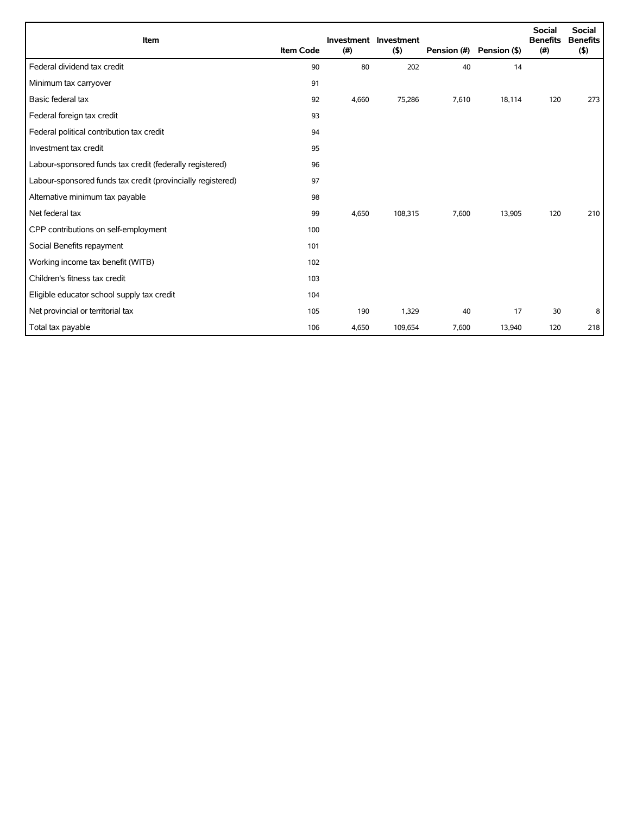| Item                                                        | <b>Item Code</b> | (#)   | Investment Investment<br>(5) | Pension (#) | Pension (\$) | Social<br><b>Benefits</b><br>(#) | <b>Social</b><br><b>Benefits</b><br>$($ \$) |
|-------------------------------------------------------------|------------------|-------|------------------------------|-------------|--------------|----------------------------------|---------------------------------------------|
| Federal dividend tax credit                                 | 90               | 80    | 202                          | 40          | 14           |                                  |                                             |
| Minimum tax carryover                                       | 91               |       |                              |             |              |                                  |                                             |
| Basic federal tax                                           | 92               | 4,660 | 75,286                       | 7,610       | 18,114       | 120                              | 273                                         |
| Federal foreign tax credit                                  | 93               |       |                              |             |              |                                  |                                             |
| Federal political contribution tax credit                   | 94               |       |                              |             |              |                                  |                                             |
| Investment tax credit                                       | 95               |       |                              |             |              |                                  |                                             |
| Labour-sponsored funds tax credit (federally registered)    | 96               |       |                              |             |              |                                  |                                             |
| Labour-sponsored funds tax credit (provincially registered) | 97               |       |                              |             |              |                                  |                                             |
| Alternative minimum tax payable                             | 98               |       |                              |             |              |                                  |                                             |
| Net federal tax                                             | 99               | 4,650 | 108,315                      | 7,600       | 13,905       | 120                              | 210                                         |
| CPP contributions on self-employment                        | 100              |       |                              |             |              |                                  |                                             |
| Social Benefits repayment                                   | 101              |       |                              |             |              |                                  |                                             |
| Working income tax benefit (WITB)                           | 102              |       |                              |             |              |                                  |                                             |
| Children's fitness tax credit                               | 103              |       |                              |             |              |                                  |                                             |
| Eligible educator school supply tax credit                  | 104              |       |                              |             |              |                                  |                                             |
| Net provincial or territorial tax                           | 105              | 190   | 1,329                        | 40          | 17           | 30                               | 8                                           |
| Total tax payable                                           | 106              | 4,650 | 109,654                      | 7,600       | 13,940       | 120                              | 218                                         |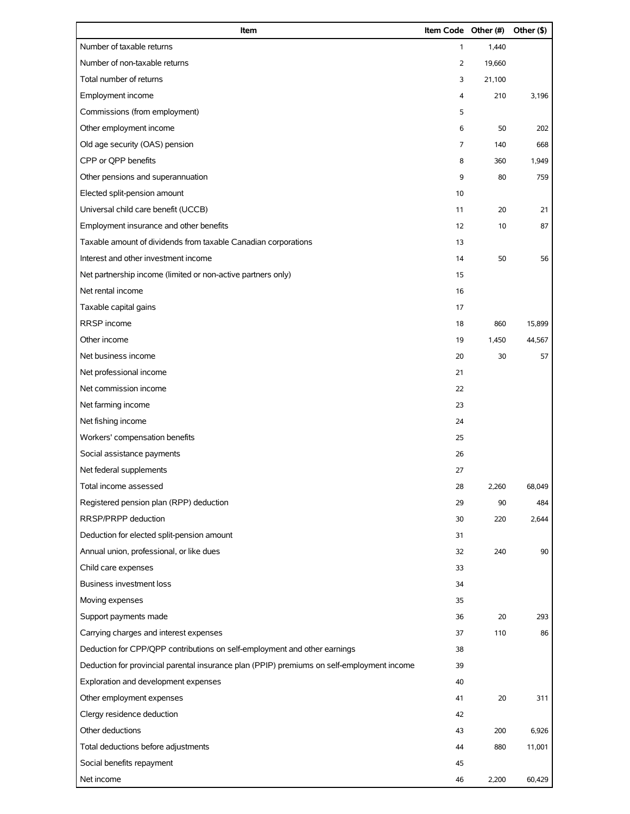| Item                                                                                       | Item Code Other (#) |        | Other (\$) |
|--------------------------------------------------------------------------------------------|---------------------|--------|------------|
| Number of taxable returns                                                                  | $\mathbf{1}$        | 1,440  |            |
| Number of non-taxable returns                                                              | 2                   | 19,660 |            |
| Total number of returns                                                                    | 3                   | 21,100 |            |
| Employment income                                                                          | 4                   | 210    | 3,196      |
| Commissions (from employment)                                                              | 5                   |        |            |
| Other employment income                                                                    | 6                   | 50     | 202        |
| Old age security (OAS) pension                                                             | 7                   | 140    | 668        |
| CPP or QPP benefits                                                                        | 8                   | 360    | 1,949      |
| Other pensions and superannuation                                                          | 9                   | 80     | 759        |
| Elected split-pension amount                                                               | 10                  |        |            |
| Universal child care benefit (UCCB)                                                        | 11                  | 20     | 21         |
| Employment insurance and other benefits                                                    | 12                  | 10     | 87         |
| Taxable amount of dividends from taxable Canadian corporations                             | 13                  |        |            |
| Interest and other investment income                                                       | 14                  | 50     | 56         |
| Net partnership income (limited or non-active partners only)                               | 15                  |        |            |
| Net rental income                                                                          | 16                  |        |            |
| Taxable capital gains                                                                      | 17                  |        |            |
| RRSP income                                                                                | 18                  | 860    | 15,899     |
| Other income                                                                               | 19                  | 1,450  | 44,567     |
| Net business income                                                                        | 20                  | 30     | 57         |
| Net professional income                                                                    | 21                  |        |            |
| Net commission income                                                                      | 22                  |        |            |
| Net farming income                                                                         | 23                  |        |            |
| Net fishing income                                                                         | 24                  |        |            |
| Workers' compensation benefits                                                             | 25                  |        |            |
| Social assistance payments                                                                 | 26                  |        |            |
| Net federal supplements                                                                    | 27                  |        |            |
| Total income assessed                                                                      | 28                  | 2,260  | 68,049     |
| Registered pension plan (RPP) deduction                                                    | 29                  | 90     | 484        |
| RRSP/PRPP deduction                                                                        | 30                  | 220    | 2,644      |
| Deduction for elected split-pension amount                                                 | 31                  |        |            |
| Annual union, professional, or like dues                                                   | 32                  | 240    | 90         |
| Child care expenses                                                                        | 33                  |        |            |
| <b>Business investment loss</b>                                                            | 34                  |        |            |
| Moving expenses                                                                            | 35                  |        |            |
| Support payments made                                                                      | 36                  | 20     | 293        |
| Carrying charges and interest expenses                                                     | 37                  | 110    | 86         |
| Deduction for CPP/QPP contributions on self-employment and other earnings                  | 38                  |        |            |
| Deduction for provincial parental insurance plan (PPIP) premiums on self-employment income | 39                  |        |            |
| Exploration and development expenses                                                       | 40                  |        |            |
| Other employment expenses                                                                  | 41                  | 20     | 311        |
| Clergy residence deduction                                                                 | 42                  |        |            |
| Other deductions                                                                           | 43                  | 200    | 6,926      |
| Total deductions before adjustments                                                        | 44                  | 880    | 11,001     |
| Social benefits repayment                                                                  | 45                  |        |            |
| Net income                                                                                 | 46                  | 2,200  | 60,429     |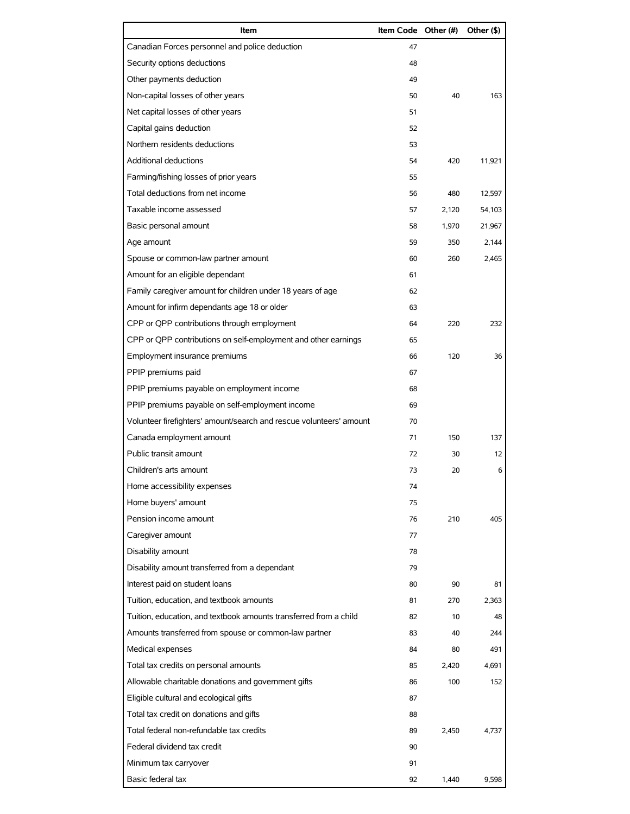| Item                                                                | Item Code Other (#) |       | Other (\$) |
|---------------------------------------------------------------------|---------------------|-------|------------|
| Canadian Forces personnel and police deduction                      | 47                  |       |            |
| Security options deductions                                         | 48                  |       |            |
| Other payments deduction                                            | 49                  |       |            |
| Non-capital losses of other years                                   | 50                  | 40    | 163        |
| Net capital losses of other years                                   | 51                  |       |            |
| Capital gains deduction                                             | 52                  |       |            |
| Northern residents deductions                                       | 53                  |       |            |
| Additional deductions                                               | 54                  | 420   | 11,921     |
| Farming/fishing losses of prior years                               | 55                  |       |            |
| Total deductions from net income                                    | 56                  | 480   | 12,597     |
| Taxable income assessed                                             | 57                  | 2,120 | 54,103     |
| Basic personal amount                                               | 58                  | 1,970 | 21,967     |
| Age amount                                                          | 59                  | 350   | 2,144      |
| Spouse or common-law partner amount                                 | 60                  | 260   | 2,465      |
| Amount for an eligible dependant                                    | 61                  |       |            |
| Family caregiver amount for children under 18 years of age          | 62                  |       |            |
| Amount for infirm dependants age 18 or older                        | 63                  |       |            |
| CPP or QPP contributions through employment                         | 64                  | 220   | 232        |
| CPP or QPP contributions on self-employment and other earnings      | 65                  |       |            |
| Employment insurance premiums                                       | 66                  | 120   | 36         |
| PPIP premiums paid                                                  | 67                  |       |            |
| PPIP premiums payable on employment income                          | 68                  |       |            |
| PPIP premiums payable on self-employment income                     | 69                  |       |            |
| Volunteer firefighters' amount/search and rescue volunteers' amount | 70                  |       |            |
| Canada employment amount                                            | 71                  | 150   | 137        |
| Public transit amount                                               | 72                  | 30    | 12         |
| Children's arts amount                                              | 73                  | 20    | 6          |
| Home accessibility expenses                                         | 74                  |       |            |
| Home buyers' amount                                                 | 75                  |       |            |
| Pension income amount                                               | 76                  | 210   | 405        |
| Caregiver amount                                                    | 77                  |       |            |
| Disability amount                                                   | 78                  |       |            |
| Disability amount transferred from a dependant                      | 79                  |       |            |
| Interest paid on student loans                                      | 80                  | 90    | 81         |
| Tuition, education, and textbook amounts                            | 81                  | 270   | 2,363      |
| Tuition, education, and textbook amounts transferred from a child   | 82                  | 10    | 48         |
| Amounts transferred from spouse or common-law partner               | 83                  | 40    | 244        |
| Medical expenses                                                    | 84                  | 80    | 491        |
| Total tax credits on personal amounts                               | 85                  | 2,420 | 4,691      |
| Allowable charitable donations and government gifts                 | 86                  | 100   | 152        |
| Eligible cultural and ecological gifts                              | 87                  |       |            |
| Total tax credit on donations and gifts                             | 88                  |       |            |
| Total federal non-refundable tax credits                            | 89                  | 2,450 | 4,737      |
| Federal dividend tax credit                                         | 90                  |       |            |
| Minimum tax carryover                                               | 91                  |       |            |
| Basic federal tax                                                   | 92                  | 1,440 | 9,598      |